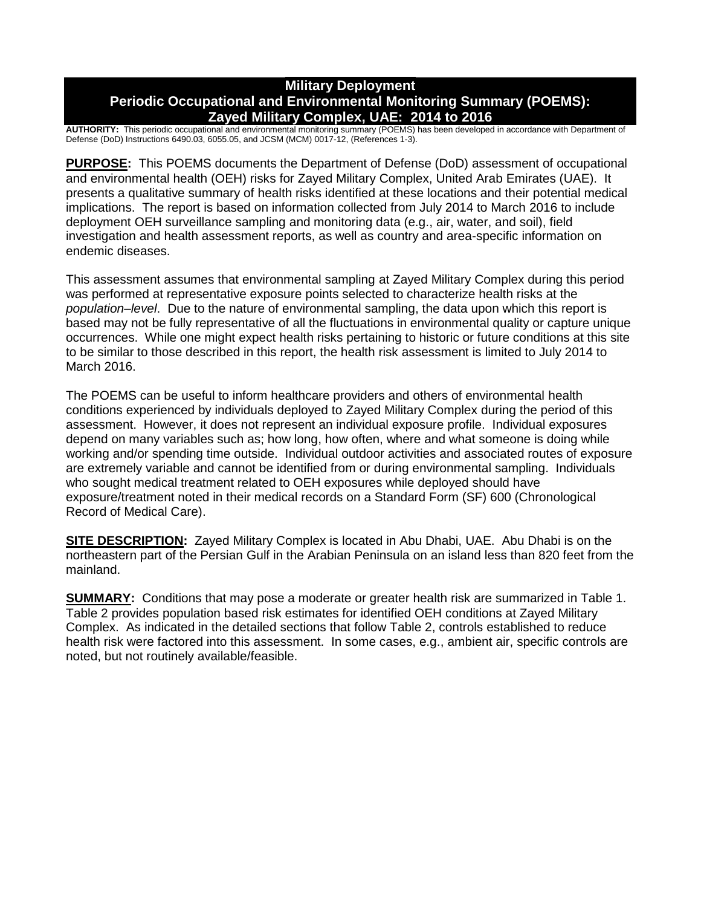## **Military Deployment Periodic Occupational and Environmental Monitoring Summary (POEMS): Zayed Military Complex, UAE: 2014 to 2016**

**AUTHORITY:** This periodic occupational and environmental monitoring summary (POEMS) has been developed in accordance with Department of Defense (DoD) Instructions 6490.03, 6055.05, and JCSM (MCM) 0017-12, (References 1-3).

**PURPOSE:** This POEMS documents the Department of Defense (DoD) assessment of occupational and environmental health (OEH) risks for Zayed Military Complex, United Arab Emirates (UAE). It presents a qualitative summary of health risks identified at these locations and their potential medical implications. The report is based on information collected from July 2014 to March 2016 to include deployment OEH surveillance sampling and monitoring data (e.g., air, water, and soil), field investigation and health assessment reports, as well as country and area-specific information on endemic diseases.

This assessment assumes that environmental sampling at Zayed Military Complex during this period was performed at representative exposure points selected to characterize health risks at the *population–level*. Due to the nature of environmental sampling, the data upon which this report is based may not be fully representative of all the fluctuations in environmental quality or capture unique occurrences. While one might expect health risks pertaining to historic or future conditions at this site to be similar to those described in this report, the health risk assessment is limited to July 2014 to March 2016.

The POEMS can be useful to inform healthcare providers and others of environmental health conditions experienced by individuals deployed to Zayed Military Complex during the period of this assessment. However, it does not represent an individual exposure profile. Individual exposures depend on many variables such as; how long, how often, where and what someone is doing while working and/or spending time outside. Individual outdoor activities and associated routes of exposure are extremely variable and cannot be identified from or during environmental sampling. Individuals who sought medical treatment related to OEH exposures while deployed should have exposure/treatment noted in their medical records on a Standard Form (SF) 600 (Chronological Record of Medical Care).

**SITE DESCRIPTION:** Zayed Military Complex is located in Abu Dhabi, UAE. Abu Dhabi is on the northeastern part of the Persian Gulf in the Arabian Peninsula on an island less than 820 feet from the mainland.

**SUMMARY:** Conditions that may pose a moderate or greater health risk are summarized in Table 1. Table 2 provides population based risk estimates for identified OEH conditions at Zayed Military Complex. As indicated in the detailed sections that follow Table 2, controls established to reduce health risk were factored into this assessment. In some cases, e.g., ambient air, specific controls are noted, but not routinely available/feasible.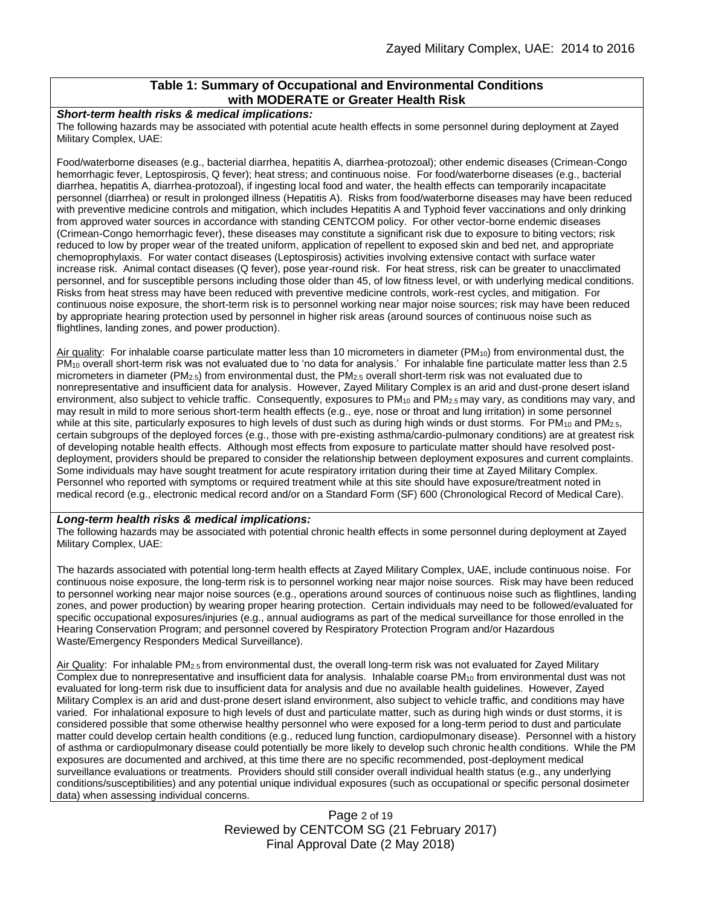#### **Table 1: Summary of Occupational and Environmental Conditions with MODERATE or Greater Health Risk**

#### *Short-term health risks & medical implications:*

The following hazards may be associated with potential acute health effects in some personnel during deployment at Zayed Military Complex, UAE:

Food/waterborne diseases (e.g., bacterial diarrhea, hepatitis A, diarrhea-protozoal); other endemic diseases (Crimean-Congo hemorrhagic fever, Leptospirosis, Q fever); heat stress; and continuous noise. For food/waterborne diseases (e.g., bacterial diarrhea, hepatitis A, diarrhea-protozoal), if ingesting local food and water, the health effects can temporarily incapacitate personnel (diarrhea) or result in prolonged illness (Hepatitis A). Risks from food/waterborne diseases may have been reduced with preventive medicine controls and mitigation, which includes Hepatitis A and Typhoid fever vaccinations and only drinking from approved water sources in accordance with standing CENTCOM policy. For other vector-borne endemic diseases (Crimean-Congo hemorrhagic fever), these diseases may constitute a significant risk due to exposure to biting vectors; risk reduced to low by proper wear of the treated uniform, application of repellent to exposed skin and bed net, and appropriate chemoprophylaxis. For water contact diseases (Leptospirosis) activities involving extensive contact with surface water increase risk. Animal contact diseases (Q fever), pose year-round risk. For heat stress, risk can be greater to unacclimated personnel, and for susceptible persons including those older than 45, of low fitness level, or with underlying medical conditions. Risks from heat stress may have been reduced with preventive medicine controls, work-rest cycles, and mitigation. For continuous noise exposure, the short-term risk is to personnel working near major noise sources; risk may have been reduced by appropriate hearing protection used by personnel in higher risk areas (around sources of continuous noise such as flightlines, landing zones, and power production).

Air quality: For inhalable coarse particulate matter less than 10 micrometers in diameter ( $PM_{10}$ ) from environmental dust, the PM<sup>10</sup> overall short-term risk was not evaluated due to 'no data for analysis.' For inhalable fine particulate matter less than 2.5 micrometers in diameter (PM<sub>2.5</sub>) from environmental dust, the PM<sub>2.5</sub> overall short-term risk was not evaluated due to nonrepresentative and insufficient data for analysis. However, Zayed Military Complex is an arid and dust-prone desert island environment, also subject to vehicle traffic. Consequently, exposures to PM<sub>10</sub> and PM<sub>2.5</sub> may vary, as conditions may vary, and may result in mild to more serious short-term health effects (e.g., eye, nose or throat and lung irritation) in some personnel while at this site, particularly exposures to high levels of dust such as during high winds or dust storms. For PM<sub>10</sub> and PM<sub>2.5</sub>, certain subgroups of the deployed forces (e.g., those with pre-existing asthma/cardio-pulmonary conditions) are at greatest risk of developing notable health effects. Although most effects from exposure to particulate matter should have resolved postdeployment, providers should be prepared to consider the relationship between deployment exposures and current complaints. Some individuals may have sought treatment for acute respiratory irritation during their time at Zayed Military Complex. Personnel who reported with symptoms or required treatment while at this site should have exposure/treatment noted in medical record (e.g., electronic medical record and/or on a Standard Form (SF) 600 (Chronological Record of Medical Care).

#### *Long-term health risks & medical implications:*

The following hazards may be associated with potential chronic health effects in some personnel during deployment at Zayed Military Complex, UAE:

The hazards associated with potential long-term health effects at Zayed Military Complex, UAE, include continuous noise. For continuous noise exposure, the long-term risk is to personnel working near major noise sources. Risk may have been reduced to personnel working near major noise sources (e.g., operations around sources of continuous noise such as flightlines, landing zones, and power production) by wearing proper hearing protection. Certain individuals may need to be followed/evaluated for specific occupational exposures/injuries (e.g., annual audiograms as part of the medical surveillance for those enrolled in the Hearing Conservation Program; and personnel covered by Respiratory Protection Program and/or Hazardous Waste/Emergency Responders Medical Surveillance).

Air Quality: For inhalable PM2.5 from environmental dust, the overall long-term risk was not evaluated for Zayed Military Complex due to nonrepresentative and insufficient data for analysis. Inhalable coarse PM<sup>10</sup> from environmental dust was not evaluated for long-term risk due to insufficient data for analysis and due no available health guidelines. However, Zayed Military Complex is an arid and dust-prone desert island environment, also subject to vehicle traffic, and conditions may have varied. For inhalational exposure to high levels of dust and particulate matter, such as during high winds or dust storms, it is considered possible that some otherwise healthy personnel who were exposed for a long-term period to dust and particulate matter could develop certain health conditions (e.g., reduced lung function, cardiopulmonary disease). Personnel with a history of asthma or cardiopulmonary disease could potentially be more likely to develop such chronic health conditions. While the PM exposures are documented and archived, at this time there are no specific recommended, post-deployment medical surveillance evaluations or treatments. Providers should still consider overall individual health status (e.g., any underlying conditions/susceptibilities) and any potential unique individual exposures (such as occupational or specific personal dosimeter data) when assessing individual concerns.

> Page 2 of 19 Reviewed by CENTCOM SG (21 February 2017) Final Approval Date (2 May 2018)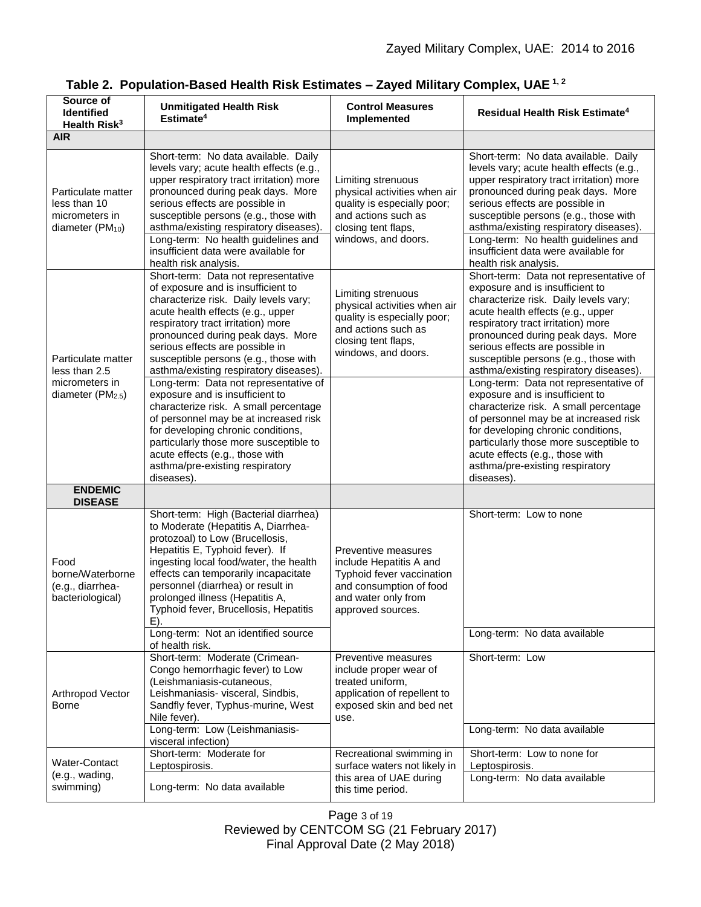| Source of<br><b>Identified</b><br>Health Risk <sup>3</sup>                           | <b>Unmitigated Health Risk</b><br>Estimate <sup>4</sup>                                                                                                                                                                                                                                                                                                                                           | <b>Control Measures</b><br>Implemented                                                                                                                 | <b>Residual Health Risk Estimate<sup>4</sup></b>                                                                                                                                                                                                                                                                                                                                                  |
|--------------------------------------------------------------------------------------|---------------------------------------------------------------------------------------------------------------------------------------------------------------------------------------------------------------------------------------------------------------------------------------------------------------------------------------------------------------------------------------------------|--------------------------------------------------------------------------------------------------------------------------------------------------------|---------------------------------------------------------------------------------------------------------------------------------------------------------------------------------------------------------------------------------------------------------------------------------------------------------------------------------------------------------------------------------------------------|
| <b>AIR</b>                                                                           |                                                                                                                                                                                                                                                                                                                                                                                                   |                                                                                                                                                        |                                                                                                                                                                                                                                                                                                                                                                                                   |
| Particulate matter<br>less than 10<br>micrometers in<br>diameter (PM <sub>10</sub> ) | Short-term: No data available. Daily<br>levels vary; acute health effects (e.g.,<br>upper respiratory tract irritation) more<br>pronounced during peak days. More<br>serious effects are possible in<br>susceptible persons (e.g., those with<br>asthma/existing respiratory diseases)<br>Long-term: No health guidelines and<br>insufficient data were available for<br>health risk analysis.    | Limiting strenuous<br>physical activities when air<br>quality is especially poor;<br>and actions such as<br>closing tent flaps,<br>windows, and doors. | Short-term: No data available. Daily<br>levels vary; acute health effects (e.g.,<br>upper respiratory tract irritation) more<br>pronounced during peak days. More<br>serious effects are possible in<br>susceptible persons (e.g., those with<br>asthma/existing respiratory diseases)<br>Long-term: No health guidelines and<br>insufficient data were available for<br>health risk analysis.    |
| Particulate matter<br>less than 2.5                                                  | Short-term: Data not representative<br>of exposure and is insufficient to<br>characterize risk. Daily levels vary;<br>acute health effects (e.g., upper<br>respiratory tract irritation) more<br>pronounced during peak days. More<br>serious effects are possible in<br>susceptible persons (e.g., those with<br>asthma/existing respiratory diseases).<br>Long-term: Data not representative of | Limiting strenuous<br>physical activities when air<br>quality is especially poor;<br>and actions such as<br>closing tent flaps,<br>windows, and doors. | Short-term: Data not representative of<br>exposure and is insufficient to<br>characterize risk. Daily levels vary;<br>acute health effects (e.g., upper<br>respiratory tract irritation) more<br>pronounced during peak days. More<br>serious effects are possible in<br>susceptible persons (e.g., those with<br>asthma/existing respiratory diseases).<br>Long-term: Data not representative of |
| micrometers in<br>diameter (PM <sub>2.5</sub> )                                      | exposure and is insufficient to<br>characterize risk. A small percentage<br>of personnel may be at increased risk<br>for developing chronic conditions,<br>particularly those more susceptible to<br>acute effects (e.g., those with<br>asthma/pre-existing respiratory<br>diseases).                                                                                                             |                                                                                                                                                        | exposure and is insufficient to<br>characterize risk. A small percentage<br>of personnel may be at increased risk<br>for developing chronic conditions,<br>particularly those more susceptible to<br>acute effects (e.g., those with<br>asthma/pre-existing respiratory<br>diseases).                                                                                                             |
| <b>ENDEMIC</b><br><b>DISEASE</b>                                                     |                                                                                                                                                                                                                                                                                                                                                                                                   |                                                                                                                                                        |                                                                                                                                                                                                                                                                                                                                                                                                   |
| Food<br>borne/Waterborne<br>(e.g., diarrhea-<br>bacteriological)                     | Short-term: High (Bacterial diarrhea)<br>to Moderate (Hepatitis A, Diarrhea-<br>protozoal) to Low (Brucellosis,<br>Hepatitis E, Typhoid fever). If<br>ingesting local food/water, the health<br>effects can temporarily incapacitate<br>personnel (diarrhea) or result in<br>prolonged illness (Hepatitis A,<br>Typhoid fever, Brucellosis, Hepatitis<br>E).                                      | Preventive measures<br>include Hepatitis A and<br>Typhoid fever vaccination<br>and consumption of food<br>and water only from<br>approved sources.     | Short-term: Low to none                                                                                                                                                                                                                                                                                                                                                                           |
|                                                                                      | Long-term: Not an identified source<br>of health risk.                                                                                                                                                                                                                                                                                                                                            |                                                                                                                                                        | Long-term: No data available                                                                                                                                                                                                                                                                                                                                                                      |
| Arthropod Vector<br>Borne                                                            | Short-term: Moderate (Crimean-<br>Congo hemorrhagic fever) to Low<br>(Leishmaniasis-cutaneous,<br>Leishmaniasis- visceral, Sindbis,<br>Sandfly fever, Typhus-murine, West<br>Nile fever).                                                                                                                                                                                                         | Preventive measures<br>include proper wear of<br>treated uniform,<br>application of repellent to<br>exposed skin and bed net<br>use.                   | Short-term: Low                                                                                                                                                                                                                                                                                                                                                                                   |
|                                                                                      | Long-term: Low (Leishmaniasis-<br>visceral infection)                                                                                                                                                                                                                                                                                                                                             |                                                                                                                                                        | Long-term: No data available                                                                                                                                                                                                                                                                                                                                                                      |
| Water-Contact<br>(e.g., wading,<br>swimming)                                         | Short-term: Moderate for<br>Leptospirosis.                                                                                                                                                                                                                                                                                                                                                        | Recreational swimming in<br>surface waters not likely in                                                                                               | Short-term: Low to none for<br>Leptospirosis.                                                                                                                                                                                                                                                                                                                                                     |
|                                                                                      | Long-term: No data available                                                                                                                                                                                                                                                                                                                                                                      | this area of UAE during<br>this time period.                                                                                                           | Long-term: No data available                                                                                                                                                                                                                                                                                                                                                                      |

Page 3 of 19 Reviewed by CENTCOM SG (21 February 2017) Final Approval Date (2 May 2018)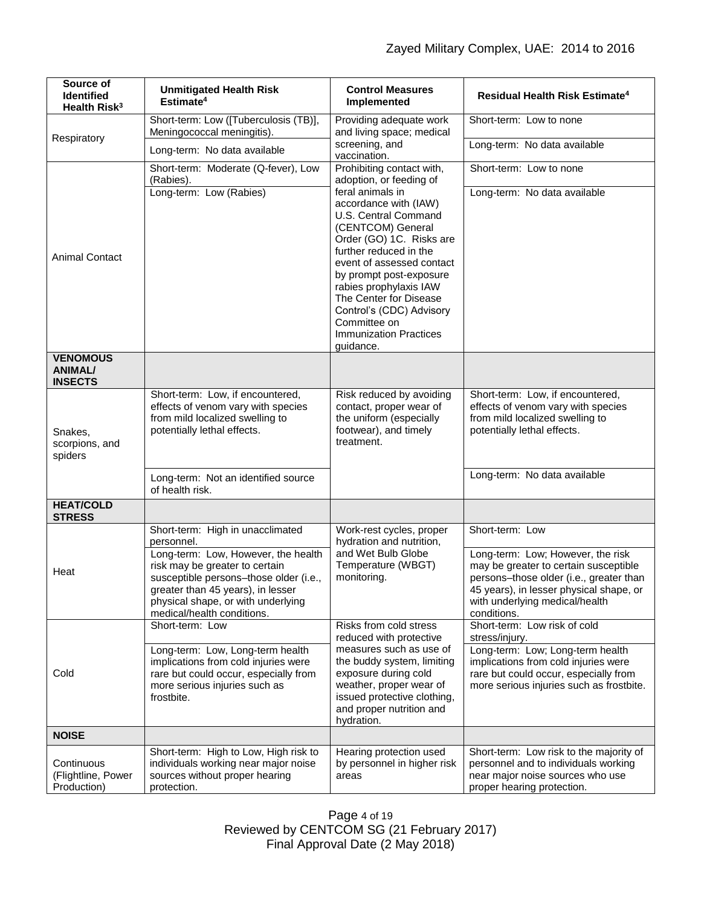| Source of<br><b>Identified</b><br>Health Risk <sup>3</sup> | <b>Unmitigated Health Risk</b><br>Estimate <sup>4</sup>                                                                                                                                                                                                                    | <b>Control Measures</b><br>Implemented                                                                                                                                                                                                                                                                                                             | <b>Residual Health Risk Estimate<sup>4</sup></b>                                                                                                                                                                                     |
|------------------------------------------------------------|----------------------------------------------------------------------------------------------------------------------------------------------------------------------------------------------------------------------------------------------------------------------------|----------------------------------------------------------------------------------------------------------------------------------------------------------------------------------------------------------------------------------------------------------------------------------------------------------------------------------------------------|--------------------------------------------------------------------------------------------------------------------------------------------------------------------------------------------------------------------------------------|
| Respiratory                                                | Short-term: Low ([Tuberculosis (TB)],<br>Meningococcal meningitis).                                                                                                                                                                                                        | Providing adequate work<br>and living space; medical                                                                                                                                                                                                                                                                                               | Short-term: Low to none                                                                                                                                                                                                              |
|                                                            | Long-term: No data available                                                                                                                                                                                                                                               | screening, and<br>vaccination.                                                                                                                                                                                                                                                                                                                     | Long-term: No data available                                                                                                                                                                                                         |
|                                                            | Short-term: Moderate (Q-fever), Low<br>(Rabies).                                                                                                                                                                                                                           | Prohibiting contact with,<br>adoption, or feeding of                                                                                                                                                                                                                                                                                               | Short-term: Low to none                                                                                                                                                                                                              |
| <b>Animal Contact</b>                                      | Long-term: Low (Rabies)                                                                                                                                                                                                                                                    | feral animals in<br>accordance with (IAW)<br>U.S. Central Command<br>(CENTCOM) General<br>Order (GO) 1C. Risks are<br>further reduced in the<br>event of assessed contact<br>by prompt post-exposure<br>rabies prophylaxis IAW<br>The Center for Disease<br>Control's (CDC) Advisory<br>Committee on<br><b>Immunization Practices</b><br>guidance. | Long-term: No data available                                                                                                                                                                                                         |
| <b>VENOMOUS</b><br><b>ANIMAL/</b><br><b>INSECTS</b>        |                                                                                                                                                                                                                                                                            |                                                                                                                                                                                                                                                                                                                                                    |                                                                                                                                                                                                                                      |
| Snakes,<br>scorpions, and<br>spiders                       | Short-term: Low, if encountered,<br>effects of venom vary with species<br>from mild localized swelling to<br>potentially lethal effects.                                                                                                                                   | Risk reduced by avoiding<br>contact, proper wear of<br>the uniform (especially<br>footwear), and timely<br>treatment.                                                                                                                                                                                                                              | Short-term: Low, if encountered,<br>effects of venom vary with species<br>from mild localized swelling to<br>potentially lethal effects.                                                                                             |
|                                                            | Long-term: Not an identified source<br>of health risk.                                                                                                                                                                                                                     |                                                                                                                                                                                                                                                                                                                                                    | Long-term: No data available                                                                                                                                                                                                         |
| <b>HEAT/COLD</b><br><b>STRESS</b>                          |                                                                                                                                                                                                                                                                            |                                                                                                                                                                                                                                                                                                                                                    |                                                                                                                                                                                                                                      |
| Heat                                                       | Short-term: High in unacclimated<br>personnel.<br>Long-term: Low, However, the health<br>risk may be greater to certain<br>susceptible persons-those older (i.e.,<br>greater than 45 years), in lesser<br>physical shape, or with underlying<br>medical/health conditions. | Work-rest cycles, proper<br>hydration and nutrition,<br>and Wet Bulb Globe<br>Temperature (WBGT)<br>monitoring.                                                                                                                                                                                                                                    | Short-term: Low<br>Long-term: Low; However, the risk<br>may be greater to certain susceptible<br>persons-those older (i.e., greater than<br>45 years), in lesser physical shape, or<br>with underlying medical/health<br>conditions. |
| Cold                                                       | Short-term: Low                                                                                                                                                                                                                                                            | Risks from cold stress<br>reduced with protective<br>measures such as use of<br>the buddy system, limiting<br>exposure during cold<br>weather, proper wear of<br>issued protective clothing,<br>and proper nutrition and<br>hydration.                                                                                                             | Short-term: Low risk of cold<br>stress/injury.                                                                                                                                                                                       |
|                                                            | Long-term: Low, Long-term health<br>implications from cold injuries were<br>rare but could occur, especially from<br>more serious injuries such as<br>frostbite.                                                                                                           |                                                                                                                                                                                                                                                                                                                                                    | Long-term: Low; Long-term health<br>implications from cold injuries were<br>rare but could occur, especially from<br>more serious injuries such as frostbite.                                                                        |
| <b>NOISE</b>                                               |                                                                                                                                                                                                                                                                            |                                                                                                                                                                                                                                                                                                                                                    |                                                                                                                                                                                                                                      |
| Continuous<br>(Flightline, Power<br>Production)            | Short-term: High to Low, High risk to<br>individuals working near major noise<br>sources without proper hearing<br>protection.                                                                                                                                             | Hearing protection used<br>by personnel in higher risk<br>areas                                                                                                                                                                                                                                                                                    | Short-term: Low risk to the majority of<br>personnel and to individuals working<br>near major noise sources who use<br>proper hearing protection.                                                                                    |

Page 4 of 19 Reviewed by CENTCOM SG (21 February 2017) Final Approval Date (2 May 2018)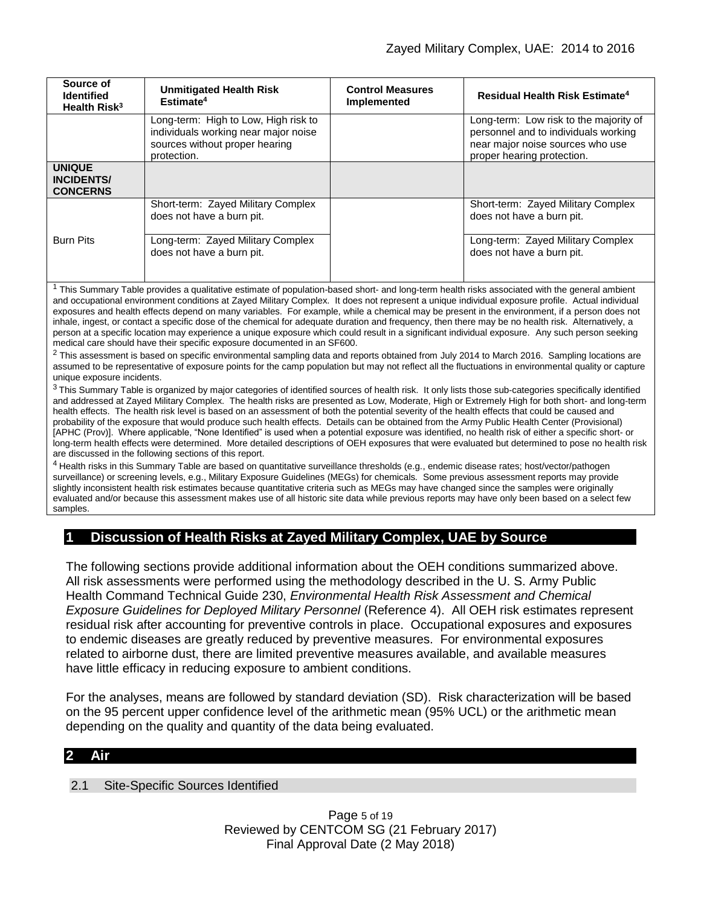| Source of<br><b>Identified</b><br>Health Risk <sup>3</sup>                                                                                                                                                                                                                                                                                                                                                                                                                                                                                                                                         | <b>Unmitigated Health Risk</b><br>Estimate <sup>4</sup>                                                                       | <b>Control Measures</b><br><b>Implemented</b> | Residual Health Risk Estimate <sup>4</sup>                                                                                                       |  |  |
|----------------------------------------------------------------------------------------------------------------------------------------------------------------------------------------------------------------------------------------------------------------------------------------------------------------------------------------------------------------------------------------------------------------------------------------------------------------------------------------------------------------------------------------------------------------------------------------------------|-------------------------------------------------------------------------------------------------------------------------------|-----------------------------------------------|--------------------------------------------------------------------------------------------------------------------------------------------------|--|--|
|                                                                                                                                                                                                                                                                                                                                                                                                                                                                                                                                                                                                    | Long-term: High to Low, High risk to<br>individuals working near major noise<br>sources without proper hearing<br>protection. |                                               | Long-term: Low risk to the majority of<br>personnel and to individuals working<br>near major noise sources who use<br>proper hearing protection. |  |  |
| <b>UNIQUE</b><br><b>INCIDENTS/</b><br><b>CONCERNS</b>                                                                                                                                                                                                                                                                                                                                                                                                                                                                                                                                              |                                                                                                                               |                                               |                                                                                                                                                  |  |  |
|                                                                                                                                                                                                                                                                                                                                                                                                                                                                                                                                                                                                    | Short-term: Zayed Military Complex<br>does not have a burn pit.                                                               |                                               | Short-term: Zayed Military Complex<br>does not have a burn pit.                                                                                  |  |  |
| <b>Burn Pits</b>                                                                                                                                                                                                                                                                                                                                                                                                                                                                                                                                                                                   | Long-term: Zayed Military Complex<br>does not have a burn pit.                                                                |                                               | Long-term: Zayed Military Complex<br>does not have a burn pit.                                                                                   |  |  |
| This Summary Table provides a qualitative estimate of population-based short- and long-term health risks associated with the general ambient<br>and occupational environment conditions at Zayed Military Complex. It does not represent a unique individual exposure profile. Actual individual<br>exposures and health effects depend on many variables. For example, while a chemical may be present in the environment, if a person does not<br>inhale ingest or contact a specific dose of the chemical for adequate duration and frequency then there may be no health risk. Alternatively a |                                                                                                                               |                                               |                                                                                                                                                  |  |  |

inhale, ingest, or contact a specific dose of the chemical for adequate duration and frequency, then there may be no health risk. Alternatively, a person at a specific location may experience a unique exposure which could result in a significant individual exposure. Any such person seeking medical care should have their specific exposure documented in an SF600.

<sup>2</sup> This assessment is based on specific environmental sampling data and reports obtained from July 2014 to March 2016. Sampling locations are assumed to be representative of exposure points for the camp population but may not reflect all the fluctuations in environmental quality or capture unique exposure incidents.

<sup>3</sup> This Summary Table is organized by major categories of identified sources of health risk. It only lists those sub-categories specifically identified and addressed at Zayed Military Complex. The health risks are presented as Low, Moderate, High or Extremely High for both short- and long-term health effects. The health risk level is based on an assessment of both the potential severity of the health effects that could be caused and probability of the exposure that would produce such health effects. Details can be obtained from the Army Public Health Center (Provisional) [APHC (Prov)]. Where applicable, "None Identified" is used when a potential exposure was identified, no health risk of either a specific short- or long-term health effects were determined. More detailed descriptions of OEH exposures that were evaluated but determined to pose no health risk are discussed in the following sections of this report.

<sup>4</sup> Health risks in this Summary Table are based on quantitative surveillance thresholds (e.g., endemic disease rates; host/vector/pathogen surveillance) or screening levels, e.g., Military Exposure Guidelines (MEGs) for chemicals*.* Some previous assessment reports may provide slightly inconsistent health risk estimates because quantitative criteria such as MEGs may have changed since the samples were originally evaluated and/or because this assessment makes use of all historic site data while previous reports may have only been based on a select few samples.

# **1 Discussion of Health Risks at Zayed Military Complex, UAE by Source**

The following sections provide additional information about the OEH conditions summarized above. All risk assessments were performed using the methodology described in the U. S. Army Public Health Command Technical Guide 230, *Environmental Health Risk Assessment and Chemical Exposure Guidelines for Deployed Military Personnel* (Reference 4). All OEH risk estimates represent residual risk after accounting for preventive controls in place. Occupational exposures and exposures to endemic diseases are greatly reduced by preventive measures. For environmental exposures related to airborne dust, there are limited preventive measures available, and available measures have little efficacy in reducing exposure to ambient conditions.

For the analyses, means are followed by standard deviation (SD). Risk characterization will be based on the 95 percent upper confidence level of the arithmetic mean (95% UCL) or the arithmetic mean depending on the quality and quantity of the data being evaluated.

### **2 Air**

2.1 Site-Specific Sources Identified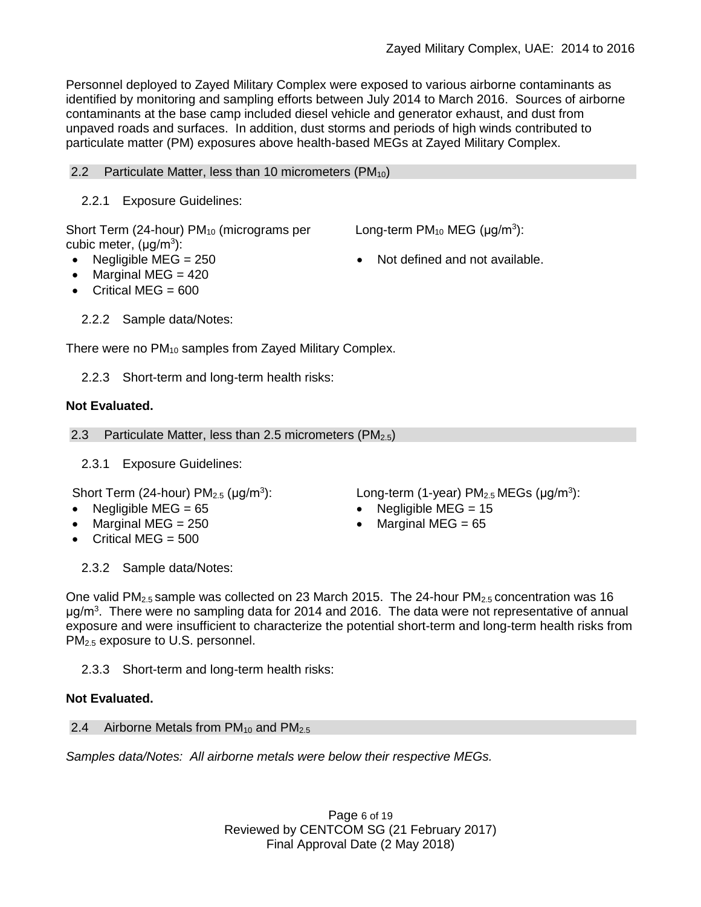Personnel deployed to Zayed Military Complex were exposed to various airborne contaminants as identified by monitoring and sampling efforts between July 2014 to March 2016. Sources of airborne contaminants at the base camp included diesel vehicle and generator exhaust, and dust from unpaved roads and surfaces. In addition, dust storms and periods of high winds contributed to particulate matter (PM) exposures above health-based MEGs at Zayed Military Complex.

## 2.2 Particulate Matter, less than 10 micrometers  $(PM_{10})$

## 2.2.1 Exposure Guidelines:

Short Term (24-hour)  $PM_{10}$  (micrograms per cubic meter, (μg/m<sup>3</sup>):

- 
- $\bullet$  Marginal MEG = 420
- $\bullet$  Critical MEG = 600
	- 2.2.2 Sample data/Notes:

There were no PM<sub>10</sub> samples from Zayed Military Complex.

2.2.3 Short-term and long-term health risks:

## **Not Evaluated.**

2.3 Particulate Matter, less than 2.5 micrometers  $(PM_{2.5})$ 

2.3.1 Exposure Guidelines:

Short Term (24-hour)  $PM<sub>2.5</sub>$  ( $\mu$ g/m<sup>3</sup>):

- 
- 
- Critical MEG  $= 500$

2.3.2 Sample data/Notes:

One valid  $PM_{2.5}$  sample was collected on 23 March 2015. The 24-hour  $PM_{2.5}$  concentration was 16 μg/m<sup>3</sup>. There were no sampling data for 2014 and 2016. The data were not representative of annual exposure and were insufficient to characterize the potential short-term and long-term health risks from PM2.5 exposure to U.S. personnel.

2.3.3 Short-term and long-term health risks:

## **Not Evaluated.**

## 2.4 Airborne Metals from  $PM_{10}$  and  $PM_{2.5}$

*Samples data/Notes: All airborne metals were below their respective MEGs.*

Page 6 of 19 Reviewed by CENTCOM SG (21 February 2017) Final Approval Date (2 May 2018)

):  $Long-term (1-year) PM<sub>2.5</sub> MEGs (µg/m<sup>3</sup>):$ 

- Negligible MEG = 65 Negligible MEG = 15
- Marginal MEG =  $250$   $\bullet$  Marginal MEG =  $65$
- 
- Negligible  $MEG = 250$   $\bullet$  Not defined and not available.

Long-term  $PM_{10}$  MEG ( $\mu$ g/m<sup>3</sup>):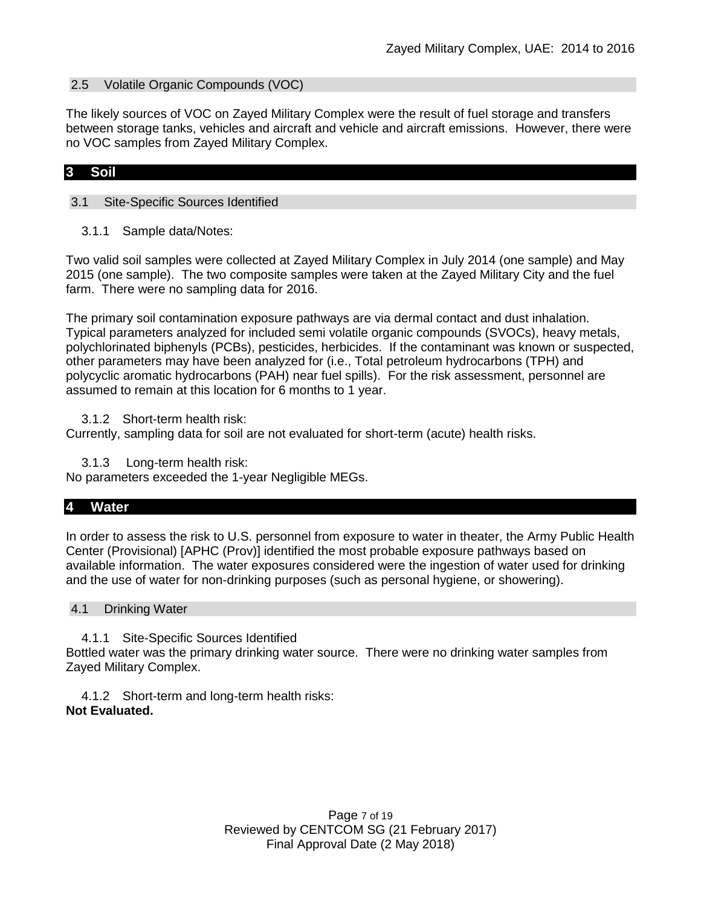#### 2.5 Volatile Organic Compounds (VOC)

The likely sources of VOC on Zayed Military Complex were the result of fuel storage and transfers between storage tanks, vehicles and aircraft and vehicle and aircraft emissions. However, there were no VOC samples from Zayed Military Complex.

### **3 Soil**

### 3.1 Site-Specific Sources Identified

3.1.1 Sample data/Notes:

Two valid soil samples were collected at Zayed Military Complex in July 2014 (one sample) and May 2015 (one sample). The two composite samples were taken at the Zayed Military City and the fuel farm. There were no sampling data for 2016.

The primary soil contamination exposure pathways are via dermal contact and dust inhalation. Typical parameters analyzed for included semi volatile organic compounds (SVOCs), heavy metals, polychlorinated biphenyls (PCBs), pesticides, herbicides. If the contaminant was known or suspected, other parameters may have been analyzed for (i.e., Total petroleum hydrocarbons (TPH) and polycyclic aromatic hydrocarbons (PAH) near fuel spills). For the risk assessment, personnel are assumed to remain at this location for 6 months to 1 year.

3.1.2 Short-term health risk:

Currently, sampling data for soil are not evaluated for short-term (acute) health risks.

3.1.3 Long-term health risk:

No parameters exceeded the 1-year Negligible MEGs.

#### **4 Water**

In order to assess the risk to U.S. personnel from exposure to water in theater, the Army Public Health Center (Provisional) [APHC (Prov)] identified the most probable exposure pathways based on available information. The water exposures considered were the ingestion of water used for drinking and the use of water for non-drinking purposes (such as personal hygiene, or showering).

#### 4.1 Drinking Water

4.1.1 Site-Specific Sources Identified

Bottled water was the primary drinking water source. There were no drinking water samples from Zayed Military Complex.

4.1.2 Short-term and long-term health risks: **Not Evaluated.**

> Page 7 of 19 Reviewed by CENTCOM SG (21 February 2017) Final Approval Date (2 May 2018)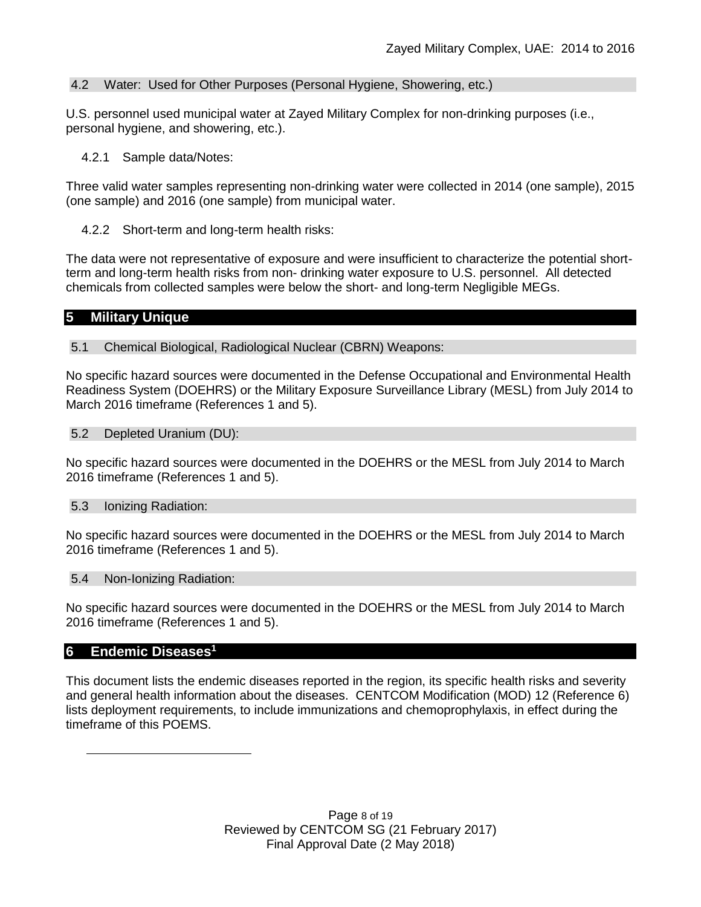## 4.2 Water: Used for Other Purposes (Personal Hygiene, Showering, etc.)

U.S. personnel used municipal water at Zayed Military Complex for non-drinking purposes (i.e., personal hygiene, and showering, etc.).

4.2.1 Sample data/Notes:

Three valid water samples representing non-drinking water were collected in 2014 (one sample), 2015 (one sample) and 2016 (one sample) from municipal water.

4.2.2 Short-term and long-term health risks:

The data were not representative of exposure and were insufficient to characterize the potential shortterm and long-term health risks from non- drinking water exposure to U.S. personnel. All detected chemicals from collected samples were below the short- and long-term Negligible MEGs.

## **5 Military Unique**

5.1 Chemical Biological, Radiological Nuclear (CBRN) Weapons:

No specific hazard sources were documented in the Defense Occupational and Environmental Health Readiness System (DOEHRS) or the Military Exposure Surveillance Library (MESL) from July 2014 to March 2016 timeframe (References 1 and 5).

### 5.2 Depleted Uranium (DU):

No specific hazard sources were documented in the DOEHRS or the MESL from July 2014 to March 2016 timeframe (References 1 and 5).

### 5.3 Ionizing Radiation:

No specific hazard sources were documented in the DOEHRS or the MESL from July 2014 to March 2016 timeframe (References 1 and 5).

### 5.4 Non-Ionizing Radiation:

No specific hazard sources were documented in the DOEHRS or the MESL from July 2014 to March 2016 timeframe (References 1 and 5).

### **6 Endemic Diseases 1**

 $\overline{a}$ 

This document lists the endemic diseases reported in the region, its specific health risks and severity and general health information about the diseases. CENTCOM Modification (MOD) 12 (Reference 6) lists deployment requirements, to include immunizations and chemoprophylaxis, in effect during the timeframe of this POEMS.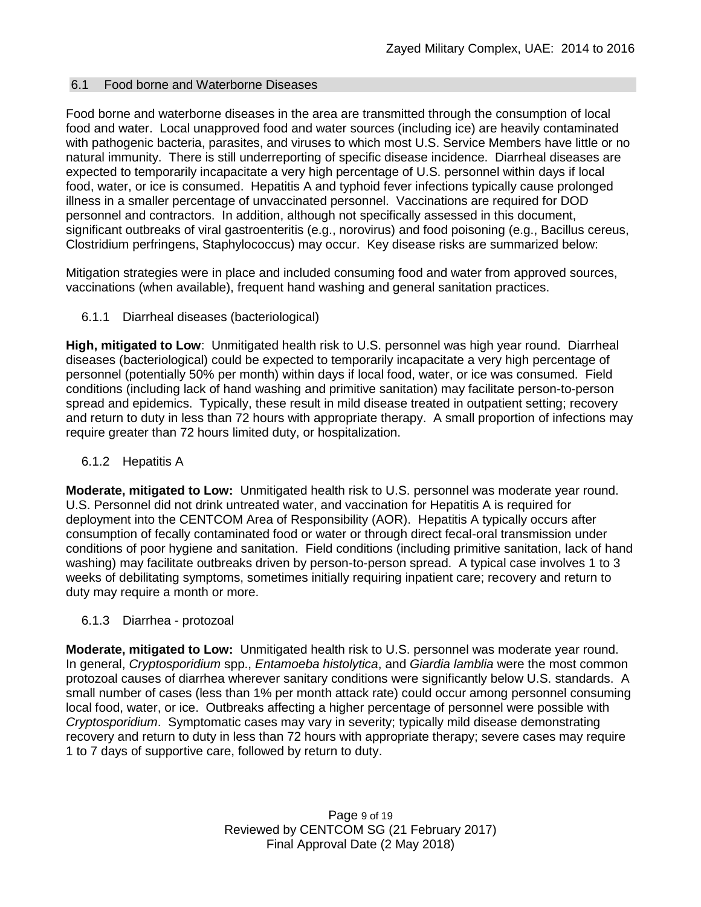### 6.1 Food borne and Waterborne Diseases

Food borne and waterborne diseases in the area are transmitted through the consumption of local food and water. Local unapproved food and water sources (including ice) are heavily contaminated with pathogenic bacteria, parasites, and viruses to which most U.S. Service Members have little or no natural immunity. There is still underreporting of specific disease incidence. Diarrheal diseases are expected to temporarily incapacitate a very high percentage of U.S. personnel within days if local food, water, or ice is consumed. Hepatitis A and typhoid fever infections typically cause prolonged illness in a smaller percentage of unvaccinated personnel. Vaccinations are required for DOD personnel and contractors. In addition, although not specifically assessed in this document, significant outbreaks of viral gastroenteritis (e.g., norovirus) and food poisoning (e.g., Bacillus cereus, Clostridium perfringens, Staphylococcus) may occur. Key disease risks are summarized below:

Mitigation strategies were in place and included consuming food and water from approved sources, vaccinations (when available), frequent hand washing and general sanitation practices.

6.1.1 Diarrheal diseases (bacteriological)

**High, mitigated to Low**: Unmitigated health risk to U.S. personnel was high year round. Diarrheal diseases (bacteriological) could be expected to temporarily incapacitate a very high percentage of personnel (potentially 50% per month) within days if local food, water, or ice was consumed. Field conditions (including lack of hand washing and primitive sanitation) may facilitate person-to-person spread and epidemics. Typically, these result in mild disease treated in outpatient setting; recovery and return to duty in less than 72 hours with appropriate therapy. A small proportion of infections may require greater than 72 hours limited duty, or hospitalization.

6.1.2 Hepatitis A

**Moderate, mitigated to Low:** Unmitigated health risk to U.S. personnel was moderate year round. U.S. Personnel did not drink untreated water, and vaccination for Hepatitis A is required for deployment into the CENTCOM Area of Responsibility (AOR). Hepatitis A typically occurs after consumption of fecally contaminated food or water or through direct fecal-oral transmission under conditions of poor hygiene and sanitation. Field conditions (including primitive sanitation, lack of hand washing) may facilitate outbreaks driven by person-to-person spread. A typical case involves 1 to 3 weeks of debilitating symptoms, sometimes initially requiring inpatient care; recovery and return to duty may require a month or more.

6.1.3 Diarrhea - protozoal

**Moderate, mitigated to Low:** Unmitigated health risk to U.S. personnel was moderate year round. In general, *Cryptosporidium* spp., *Entamoeba histolytica*, and *Giardia lamblia* were the most common protozoal causes of diarrhea wherever sanitary conditions were significantly below U.S. standards. A small number of cases (less than 1% per month attack rate) could occur among personnel consuming local food, water, or ice. Outbreaks affecting a higher percentage of personnel were possible with *Cryptosporidium*. Symptomatic cases may vary in severity; typically mild disease demonstrating recovery and return to duty in less than 72 hours with appropriate therapy; severe cases may require 1 to 7 days of supportive care, followed by return to duty.

> Page 9 of 19 Reviewed by CENTCOM SG (21 February 2017) Final Approval Date (2 May 2018)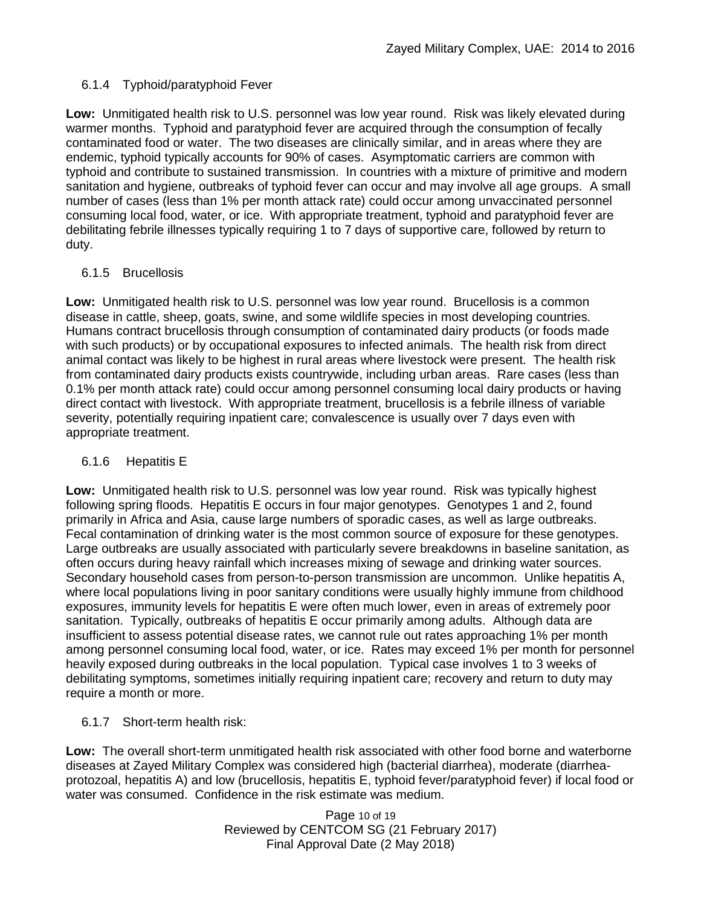## 6.1.4 Typhoid/paratyphoid Fever

**Low:** Unmitigated health risk to U.S. personnel was low year round. Risk was likely elevated during warmer months. Typhoid and paratyphoid fever are acquired through the consumption of fecally contaminated food or water. The two diseases are clinically similar, and in areas where they are endemic, typhoid typically accounts for 90% of cases. Asymptomatic carriers are common with typhoid and contribute to sustained transmission. In countries with a mixture of primitive and modern sanitation and hygiene, outbreaks of typhoid fever can occur and may involve all age groups. A small number of cases (less than 1% per month attack rate) could occur among unvaccinated personnel consuming local food, water, or ice. With appropriate treatment, typhoid and paratyphoid fever are debilitating febrile illnesses typically requiring 1 to 7 days of supportive care, followed by return to duty.

## 6.1.5 Brucellosis

**Low:** Unmitigated health risk to U.S. personnel was low year round. Brucellosis is a common disease in cattle, sheep, goats, swine, and some wildlife species in most developing countries. Humans contract brucellosis through consumption of contaminated dairy products (or foods made with such products) or by occupational exposures to infected animals. The health risk from direct animal contact was likely to be highest in rural areas where livestock were present. The health risk from contaminated dairy products exists countrywide, including urban areas. Rare cases (less than 0.1% per month attack rate) could occur among personnel consuming local dairy products or having direct contact with livestock. With appropriate treatment, brucellosis is a febrile illness of variable severity, potentially requiring inpatient care; convalescence is usually over 7 days even with appropriate treatment.

### 6.1.6 Hepatitis E

**Low:** Unmitigated health risk to U.S. personnel was low year round. Risk was typically highest following spring floods. Hepatitis E occurs in four major genotypes. Genotypes 1 and 2, found primarily in Africa and Asia, cause large numbers of sporadic cases, as well as large outbreaks. Fecal contamination of drinking water is the most common source of exposure for these genotypes. Large outbreaks are usually associated with particularly severe breakdowns in baseline sanitation, as often occurs during heavy rainfall which increases mixing of sewage and drinking water sources. Secondary household cases from person-to-person transmission are uncommon. Unlike hepatitis A, where local populations living in poor sanitary conditions were usually highly immune from childhood exposures, immunity levels for hepatitis E were often much lower, even in areas of extremely poor sanitation. Typically, outbreaks of hepatitis E occur primarily among adults. Although data are insufficient to assess potential disease rates, we cannot rule out rates approaching 1% per month among personnel consuming local food, water, or ice. Rates may exceed 1% per month for personnel heavily exposed during outbreaks in the local population. Typical case involves 1 to 3 weeks of debilitating symptoms, sometimes initially requiring inpatient care; recovery and return to duty may require a month or more.

## 6.1.7 Short-term health risk:

**Low:** The overall short-term unmitigated health risk associated with other food borne and waterborne diseases at Zayed Military Complex was considered high (bacterial diarrhea), moderate (diarrheaprotozoal, hepatitis A) and low (brucellosis, hepatitis E, typhoid fever/paratyphoid fever) if local food or water was consumed. Confidence in the risk estimate was medium.

> Page 10 of 19 Reviewed by CENTCOM SG (21 February 2017) Final Approval Date (2 May 2018)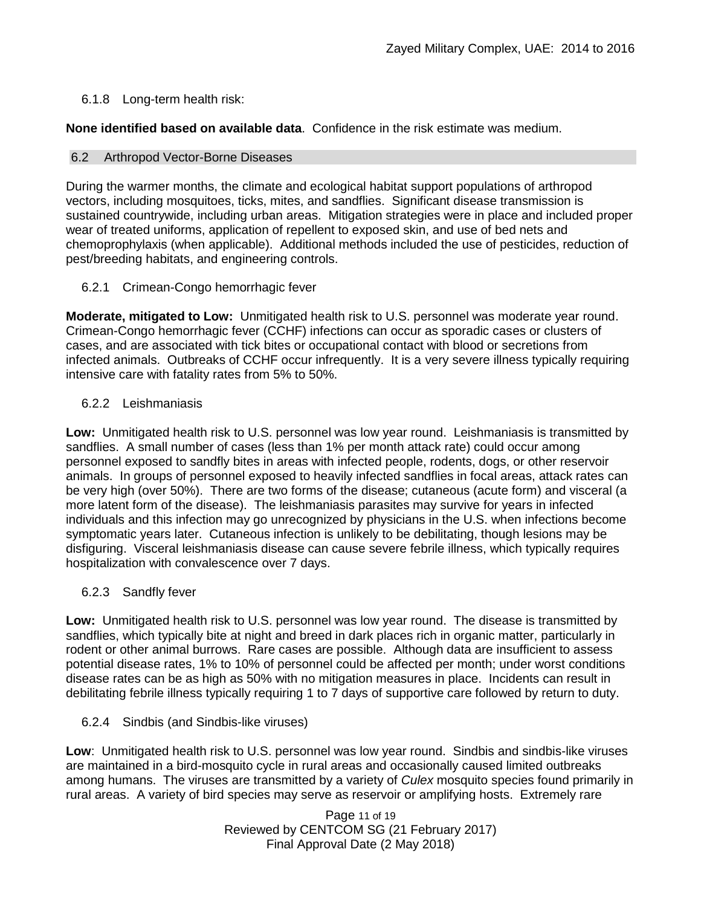## 6.1.8 Long-term health risk:

**None identified based on available data**.Confidence in the risk estimate was medium.

### 6.2 Arthropod Vector-Borne Diseases

During the warmer months, the climate and ecological habitat support populations of arthropod vectors, including mosquitoes, ticks, mites, and sandflies. Significant disease transmission is sustained countrywide, including urban areas. Mitigation strategies were in place and included proper wear of treated uniforms, application of repellent to exposed skin, and use of bed nets and chemoprophylaxis (when applicable). Additional methods included the use of pesticides, reduction of pest/breeding habitats, and engineering controls.

## 6.2.1 Crimean-Congo hemorrhagic fever

**Moderate, mitigated to Low:** Unmitigated health risk to U.S. personnel was moderate year round. Crimean-Congo hemorrhagic fever (CCHF) infections can occur as sporadic cases or clusters of cases, and are associated with tick bites or occupational contact with blood or secretions from infected animals. Outbreaks of CCHF occur infrequently. It is a very severe illness typically requiring intensive care with fatality rates from 5% to 50%.

## 6.2.2 Leishmaniasis

**Low:** Unmitigated health risk to U.S. personnel was low year round. Leishmaniasis is transmitted by sandflies. A small number of cases (less than 1% per month attack rate) could occur among personnel exposed to sandfly bites in areas with infected people, rodents, dogs, or other reservoir animals. In groups of personnel exposed to heavily infected sandflies in focal areas, attack rates can be very high (over 50%). There are two forms of the disease; cutaneous (acute form) and visceral (a more latent form of the disease). The leishmaniasis parasites may survive for years in infected individuals and this infection may go unrecognized by physicians in the U.S. when infections become symptomatic years later. Cutaneous infection is unlikely to be debilitating, though lesions may be disfiguring. Visceral leishmaniasis disease can cause severe febrile illness, which typically requires hospitalization with convalescence over 7 days.

## 6.2.3 Sandfly fever

**Low:** Unmitigated health risk to U.S. personnel was low year round. The disease is transmitted by sandflies, which typically bite at night and breed in dark places rich in organic matter, particularly in rodent or other animal burrows. Rare cases are possible. Although data are insufficient to assess potential disease rates, 1% to 10% of personnel could be affected per month; under worst conditions disease rates can be as high as 50% with no mitigation measures in place. Incidents can result in debilitating febrile illness typically requiring 1 to 7 days of supportive care followed by return to duty.

### 6.2.4 Sindbis (and Sindbis-like viruses)

**Low**: Unmitigated health risk to U.S. personnel was low year round. Sindbis and sindbis-like viruses are maintained in a bird-mosquito cycle in rural areas and occasionally caused limited outbreaks among humans. The viruses are transmitted by a variety of *Culex* mosquito species found primarily in rural areas. A variety of bird species may serve as reservoir or amplifying hosts. Extremely rare

> Page 11 of 19 Reviewed by CENTCOM SG (21 February 2017) Final Approval Date (2 May 2018)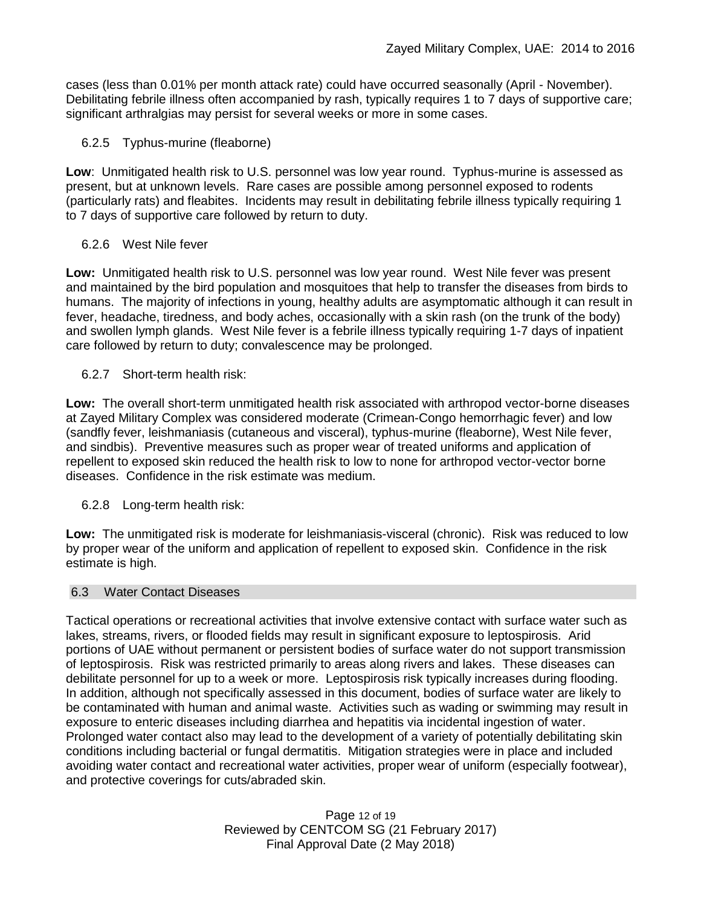cases (less than 0.01% per month attack rate) could have occurred seasonally (April - November). Debilitating febrile illness often accompanied by rash, typically requires 1 to 7 days of supportive care; significant arthralgias may persist for several weeks or more in some cases.

### 6.2.5 Typhus-murine (fleaborne)

**Low**: Unmitigated health risk to U.S. personnel was low year round. Typhus-murine is assessed as present, but at unknown levels. Rare cases are possible among personnel exposed to rodents (particularly rats) and fleabites. Incidents may result in debilitating febrile illness typically requiring 1 to 7 days of supportive care followed by return to duty.

### 6.2.6 West Nile fever

**Low:** Unmitigated health risk to U.S. personnel was low year round. West Nile fever was present and maintained by the bird population and mosquitoes that help to transfer the diseases from birds to humans. The majority of infections in young, healthy adults are asymptomatic although it can result in fever, headache, tiredness, and body aches, occasionally with a skin rash (on the trunk of the body) and swollen lymph glands. West Nile fever is a febrile illness typically requiring 1-7 days of inpatient care followed by return to duty; convalescence may be prolonged.

## 6.2.7 Short-term health risk:

**Low:** The overall short-term unmitigated health risk associated with arthropod vector-borne diseases at Zayed Military Complex was considered moderate (Crimean-Congo hemorrhagic fever) and low (sandfly fever, leishmaniasis (cutaneous and visceral), typhus-murine (fleaborne), West Nile fever, and sindbis). Preventive measures such as proper wear of treated uniforms and application of repellent to exposed skin reduced the health risk to low to none for arthropod vector-vector borne diseases. Confidence in the risk estimate was medium.

6.2.8 Long-term health risk:

**Low:** The unmitigated risk is moderate for leishmaniasis-visceral (chronic). Risk was reduced to low by proper wear of the uniform and application of repellent to exposed skin. Confidence in the risk estimate is high.

### 6.3 Water Contact Diseases

Tactical operations or recreational activities that involve extensive contact with surface water such as lakes, streams, rivers, or flooded fields may result in significant exposure to leptospirosis. Arid portions of UAE without permanent or persistent bodies of surface water do not support transmission of leptospirosis. Risk was restricted primarily to areas along rivers and lakes. These diseases can debilitate personnel for up to a week or more. Leptospirosis risk typically increases during flooding. In addition, although not specifically assessed in this document, bodies of surface water are likely to be contaminated with human and animal waste. Activities such as wading or swimming may result in exposure to enteric diseases including diarrhea and hepatitis via incidental ingestion of water. Prolonged water contact also may lead to the development of a variety of potentially debilitating skin conditions including bacterial or fungal dermatitis. Mitigation strategies were in place and included avoiding water contact and recreational water activities, proper wear of uniform (especially footwear), and protective coverings for cuts/abraded skin.

> Page 12 of 19 Reviewed by CENTCOM SG (21 February 2017) Final Approval Date (2 May 2018)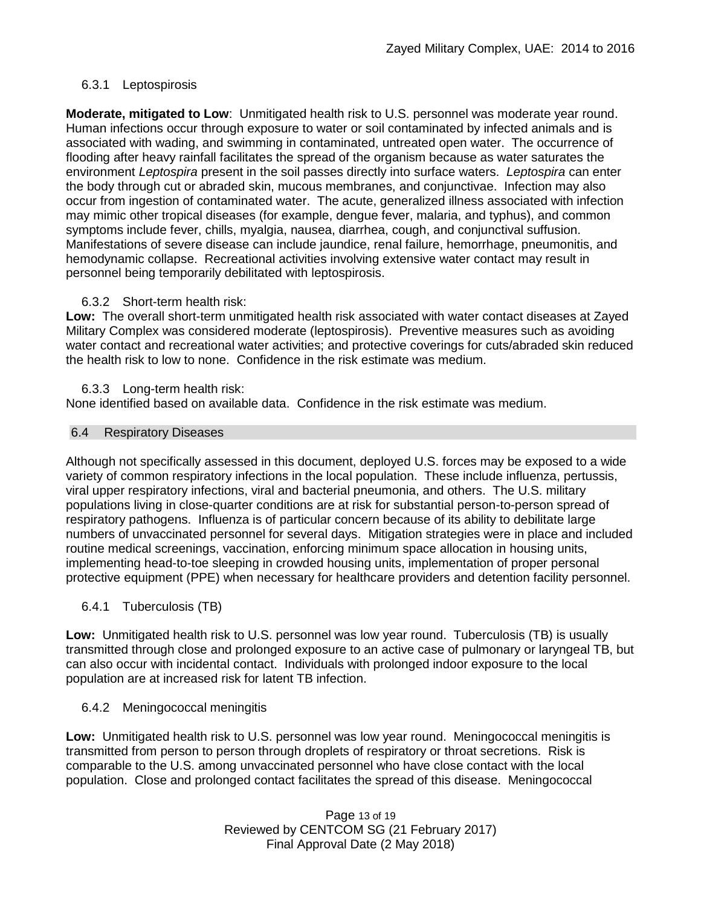## 6.3.1 Leptospirosis

**Moderate, mitigated to Low**: Unmitigated health risk to U.S. personnel was moderate year round. Human infections occur through exposure to water or soil contaminated by infected animals and is associated with wading, and swimming in contaminated, untreated open water. The occurrence of flooding after heavy rainfall facilitates the spread of the organism because as water saturates the environment *Leptospira* present in the soil passes directly into surface waters. *Leptospira* can enter the body through cut or abraded skin, mucous membranes, and conjunctivae. Infection may also occur from ingestion of contaminated water. The acute, generalized illness associated with infection may mimic other tropical diseases (for example, dengue fever, malaria, and typhus), and common symptoms include fever, chills, myalgia, nausea, diarrhea, cough, and conjunctival suffusion. Manifestations of severe disease can include jaundice, renal failure, hemorrhage, pneumonitis, and hemodynamic collapse. Recreational activities involving extensive water contact may result in personnel being temporarily debilitated with leptospirosis.

### 6.3.2 Short-term health risk:

**Low:** The overall short-term unmitigated health risk associated with water contact diseases at Zayed Military Complex was considered moderate (leptospirosis). Preventive measures such as avoiding water contact and recreational water activities; and protective coverings for cuts/abraded skin reduced the health risk to low to none. Confidence in the risk estimate was medium.

#### 6.3.3 Long-term health risk:

None identified based on available data. Confidence in the risk estimate was medium.

#### 6.4 Respiratory Diseases

Although not specifically assessed in this document, deployed U.S. forces may be exposed to a wide variety of common respiratory infections in the local population. These include influenza, pertussis, viral upper respiratory infections, viral and bacterial pneumonia, and others. The U.S. military populations living in close-quarter conditions are at risk for substantial person-to-person spread of respiratory pathogens. Influenza is of particular concern because of its ability to debilitate large numbers of unvaccinated personnel for several days. Mitigation strategies were in place and included routine medical screenings, vaccination, enforcing minimum space allocation in housing units, implementing head-to-toe sleeping in crowded housing units, implementation of proper personal protective equipment (PPE) when necessary for healthcare providers and detention facility personnel.

### 6.4.1 Tuberculosis (TB)

**Low:** Unmitigated health risk to U.S. personnel was low year round. Tuberculosis (TB) is usually transmitted through close and prolonged exposure to an active case of pulmonary or laryngeal TB, but can also occur with incidental contact. Individuals with prolonged indoor exposure to the local population are at increased risk for latent TB infection.

### 6.4.2 Meningococcal meningitis

**Low:** Unmitigated health risk to U.S. personnel was low year round. Meningococcal meningitis is transmitted from person to person through droplets of respiratory or throat secretions. Risk is comparable to the U.S. among unvaccinated personnel who have close contact with the local population. Close and prolonged contact facilitates the spread of this disease. Meningococcal

> Page 13 of 19 Reviewed by CENTCOM SG (21 February 2017) Final Approval Date (2 May 2018)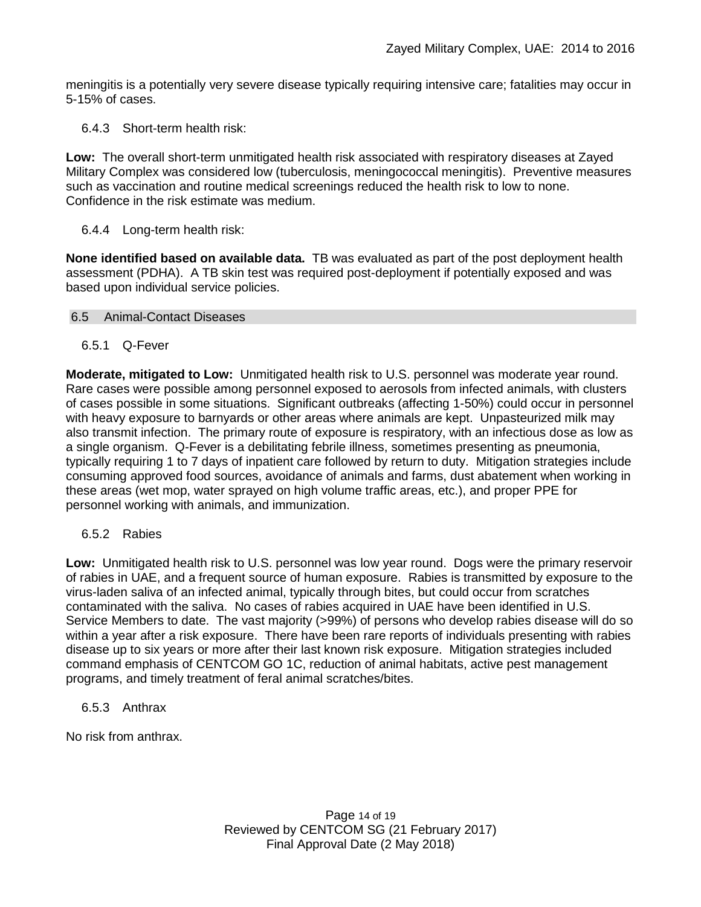meningitis is a potentially very severe disease typically requiring intensive care; fatalities may occur in 5-15% of cases.

6.4.3 Short-term health risk:

**Low:** The overall short-term unmitigated health risk associated with respiratory diseases at Zayed Military Complex was considered low (tuberculosis, meningococcal meningitis). Preventive measures such as vaccination and routine medical screenings reduced the health risk to low to none. Confidence in the risk estimate was medium.

## 6.4.4 Long-term health risk:

**None identified based on available data.** TB was evaluated as part of the post deployment health assessment (PDHA). A TB skin test was required post-deployment if potentially exposed and was based upon individual service policies.

### 6.5 Animal-Contact Diseases

6.5.1 Q-Fever

**Moderate, mitigated to Low:** Unmitigated health risk to U.S. personnel was moderate year round. Rare cases were possible among personnel exposed to aerosols from infected animals, with clusters of cases possible in some situations. Significant outbreaks (affecting 1-50%) could occur in personnel with heavy exposure to barnyards or other areas where animals are kept. Unpasteurized milk may also transmit infection. The primary route of exposure is respiratory, with an infectious dose as low as a single organism. Q-Fever is a debilitating febrile illness, sometimes presenting as pneumonia, typically requiring 1 to 7 days of inpatient care followed by return to duty. Mitigation strategies include consuming approved food sources, avoidance of animals and farms, dust abatement when working in these areas (wet mop, water sprayed on high volume traffic areas, etc.), and proper PPE for personnel working with animals, and immunization.

6.5.2 Rabies

**Low:** Unmitigated health risk to U.S. personnel was low year round. Dogs were the primary reservoir of rabies in UAE, and a frequent source of human exposure. Rabies is transmitted by exposure to the virus-laden saliva of an infected animal, typically through bites, but could occur from scratches contaminated with the saliva. No cases of rabies acquired in UAE have been identified in U.S. Service Members to date. The vast majority (>99%) of persons who develop rabies disease will do so within a year after a risk exposure. There have been rare reports of individuals presenting with rabies disease up to six years or more after their last known risk exposure. Mitigation strategies included command emphasis of CENTCOM GO 1C, reduction of animal habitats, active pest management programs, and timely treatment of feral animal scratches/bites.

6.5.3 Anthrax

No risk from anthrax.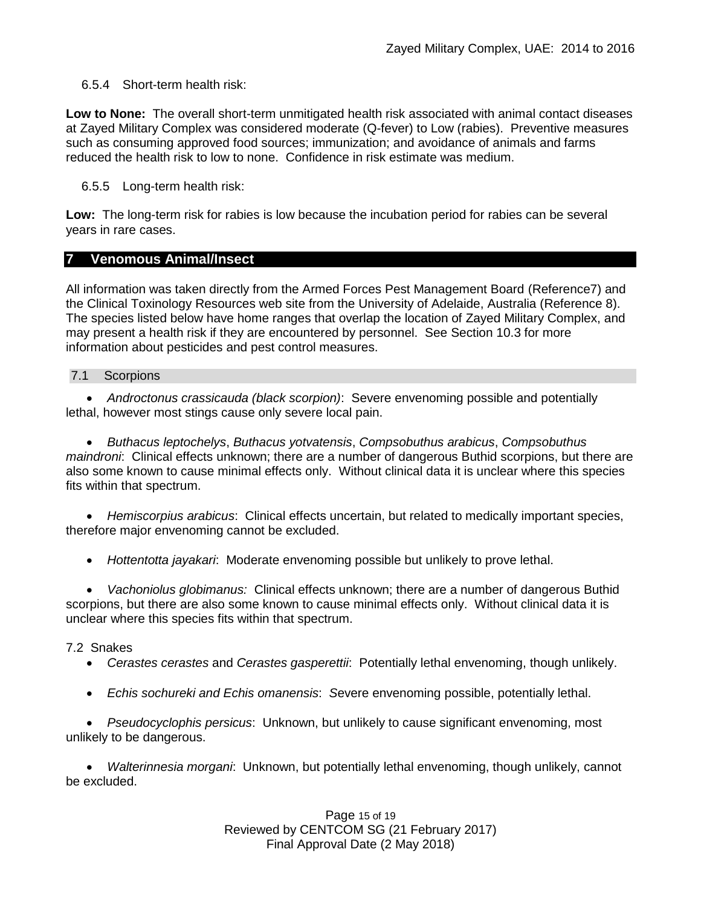### 6.5.4 Short-term health risk:

**Low to None:** The overall short-term unmitigated health risk associated with animal contact diseases at Zayed Military Complex was considered moderate (Q-fever) to Low (rabies). Preventive measures such as consuming approved food sources; immunization; and avoidance of animals and farms reduced the health risk to low to none. Confidence in risk estimate was medium.

6.5.5 Long-term health risk:

**Low:** The long-term risk for rabies is low because the incubation period for rabies can be several years in rare cases.

## **7 Venomous Animal/Insect**

All information was taken directly from the Armed Forces Pest Management Board (Reference7) and the Clinical Toxinology Resources web site from the University of Adelaide, Australia (Reference 8). The species listed below have home ranges that overlap the location of Zayed Military Complex, and may present a health risk if they are encountered by personnel. See Section 10.3 for more information about pesticides and pest control measures.

#### 7.1 Scorpions

 *Androctonus crassicauda (black scorpion)*:Severe envenoming possible and potentially lethal, however most stings cause only severe local pain.

 *Buthacus leptochelys*, *Buthacus yotvatensis*, *Compsobuthus arabicus*, *Compsobuthus maindroni*: Clinical effects unknown; there are a number of dangerous Buthid scorpions, but there are also some known to cause minimal effects only. Without clinical data it is unclear where this species fits within that spectrum.

 *Hemiscorpius arabicus*: Clinical effects uncertain, but related to medically important species, therefore major envenoming cannot be excluded.

*Hottentotta jayakari*: Moderate envenoming possible but unlikely to prove lethal.

 *Vachoniolus globimanus:* Clinical effects unknown; there are a number of dangerous Buthid scorpions, but there are also some known to cause minimal effects only. Without clinical data it is unclear where this species fits within that spectrum.

### 7.2 Snakes

- *Cerastes cerastes* and *Cerastes gasperettii*: Potentially lethal envenoming, though unlikely.
- *Echis sochureki and Echis omanensis*: *S*evere envenoming possible, potentially lethal.

 *Pseudocyclophis persicus*: Unknown, but unlikely to cause significant envenoming, most unlikely to be dangerous.

 *Walterinnesia morgani*: Unknown, but potentially lethal envenoming, though unlikely, cannot be excluded.

> Page 15 of 19 Reviewed by CENTCOM SG (21 February 2017) Final Approval Date (2 May 2018)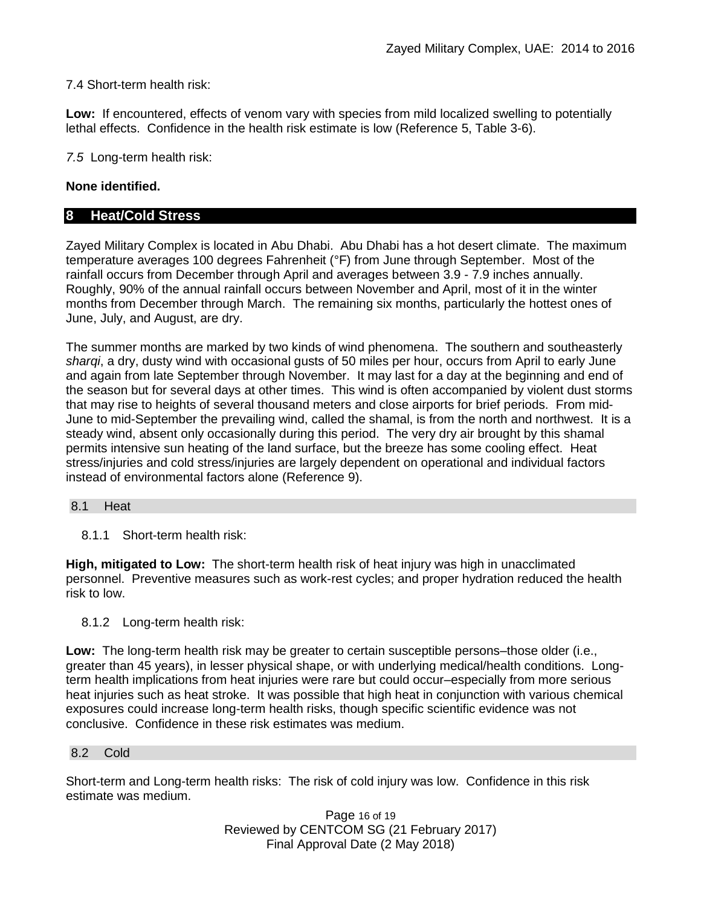### 7.4 Short-term health risk:

**Low:** If encountered, effects of venom vary with species from mild localized swelling to potentially lethal effects. Confidence in the health risk estimate is low (Reference 5, Table 3-6).

*7.5* Long-term health risk:

## **None identified.**

## **8 Heat/Cold Stress**

Zayed Military Complex is located in Abu Dhabi. Abu Dhabi has a hot desert climate. The maximum temperature averages 100 degrees Fahrenheit (°F) from June through September. Most of the rainfall occurs from December through April and averages between 3.9 - 7.9 inches annually. Roughly, 90% of the annual rainfall occurs between November and April, most of it in the winter months from December through March. The remaining six months, particularly the hottest ones of June, July, and August, are dry.

The summer months are marked by two kinds of wind phenomena. The southern and southeasterly *sharqi*, a dry, dusty wind with occasional gusts of 50 miles per hour, occurs from April to early June and again from late September through November. It may last for a day at the beginning and end of the season but for several days at other times. This wind is often accompanied by violent dust storms that may rise to heights of several thousand meters and close airports for brief periods. From mid-June to mid-September the prevailing wind, called the shamal, is from the north and northwest. It is a steady wind, absent only occasionally during this period. The very dry air brought by this shamal permits intensive sun heating of the land surface, but the breeze has some cooling effect. Heat stress/injuries and cold stress/injuries are largely dependent on operational and individual factors instead of environmental factors alone (Reference 9).

#### 8.1 Heat

8.1.1 Short-term health risk:

**High, mitigated to Low:** The short-term health risk of heat injury was high in unacclimated personnel. Preventive measures such as work-rest cycles; and proper hydration reduced the health risk to low.

8.1.2 Long-term health risk:

**Low:** The long-term health risk may be greater to certain susceptible persons–those older (i.e., greater than 45 years), in lesser physical shape, or with underlying medical/health conditions. Longterm health implications from heat injuries were rare but could occur–especially from more serious heat injuries such as heat stroke.It was possible that high heat in conjunction with various chemical exposures could increase long-term health risks, though specific scientific evidence was not conclusive. Confidence in these risk estimates was medium.

### 8.2 Cold

Short-term and Long-term health risks: The risk of cold injury was low. Confidence in this risk estimate was medium.

> Page 16 of 19 Reviewed by CENTCOM SG (21 February 2017) Final Approval Date (2 May 2018)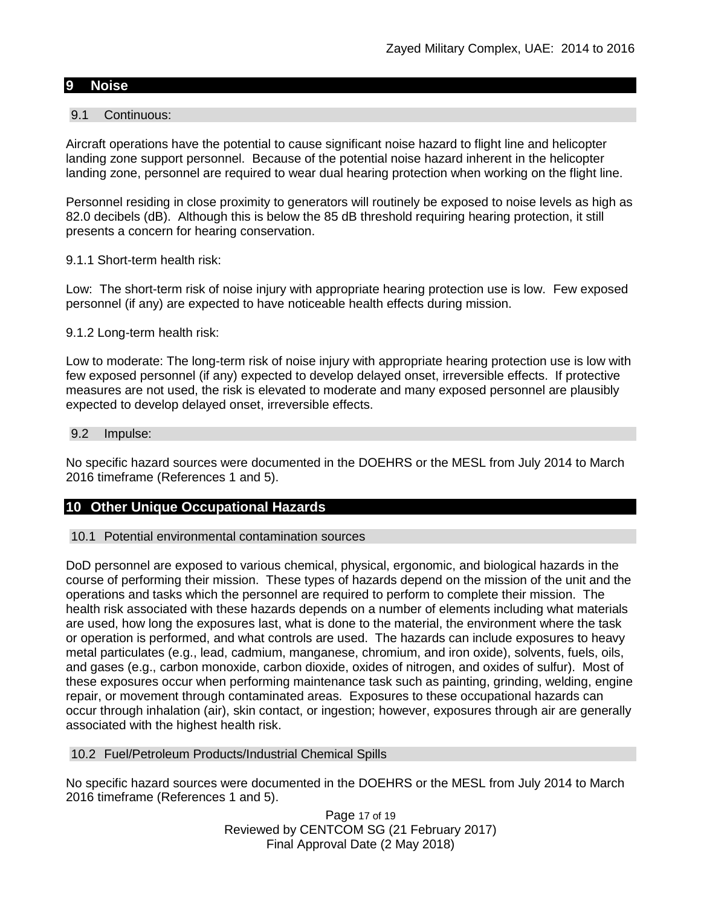#### **9 Noise**

#### 9.1 Continuous:

Aircraft operations have the potential to cause significant noise hazard to flight line and helicopter landing zone support personnel. Because of the potential noise hazard inherent in the helicopter landing zone, personnel are required to wear dual hearing protection when working on the flight line.

Personnel residing in close proximity to generators will routinely be exposed to noise levels as high as 82.0 decibels (dB). Although this is below the 85 dB threshold requiring hearing protection, it still presents a concern for hearing conservation.

#### 9.1.1 Short-term health risk:

Low: The short-term risk of noise injury with appropriate hearing protection use is low. Few exposed personnel (if any) are expected to have noticeable health effects during mission.

#### 9.1.2 Long-term health risk:

Low to moderate: The long-term risk of noise injury with appropriate hearing protection use is low with few exposed personnel (if any) expected to develop delayed onset, irreversible effects. If protective measures are not used, the risk is elevated to moderate and many exposed personnel are plausibly expected to develop delayed onset, irreversible effects.

#### 9.2 Impulse:

No specific hazard sources were documented in the DOEHRS or the MESL from July 2014 to March 2016 timeframe (References 1 and 5).

### **10 Other Unique Occupational Hazards**

#### 10.1 Potential environmental contamination sources

DoD personnel are exposed to various chemical, physical, ergonomic, and biological hazards in the course of performing their mission. These types of hazards depend on the mission of the unit and the operations and tasks which the personnel are required to perform to complete their mission. The health risk associated with these hazards depends on a number of elements including what materials are used, how long the exposures last, what is done to the material, the environment where the task or operation is performed, and what controls are used. The hazards can include exposures to heavy metal particulates (e.g., lead, cadmium, manganese, chromium, and iron oxide), solvents, fuels, oils, and gases (e.g., carbon monoxide, carbon dioxide, oxides of nitrogen, and oxides of sulfur). Most of these exposures occur when performing maintenance task such as painting, grinding, welding, engine repair, or movement through contaminated areas. Exposures to these occupational hazards can occur through inhalation (air), skin contact, or ingestion; however, exposures through air are generally associated with the highest health risk.

#### 10.2 Fuel/Petroleum Products/Industrial Chemical Spills

No specific hazard sources were documented in the DOEHRS or the MESL from July 2014 to March 2016 timeframe (References 1 and 5).

> Page 17 of 19 Reviewed by CENTCOM SG (21 February 2017) Final Approval Date (2 May 2018)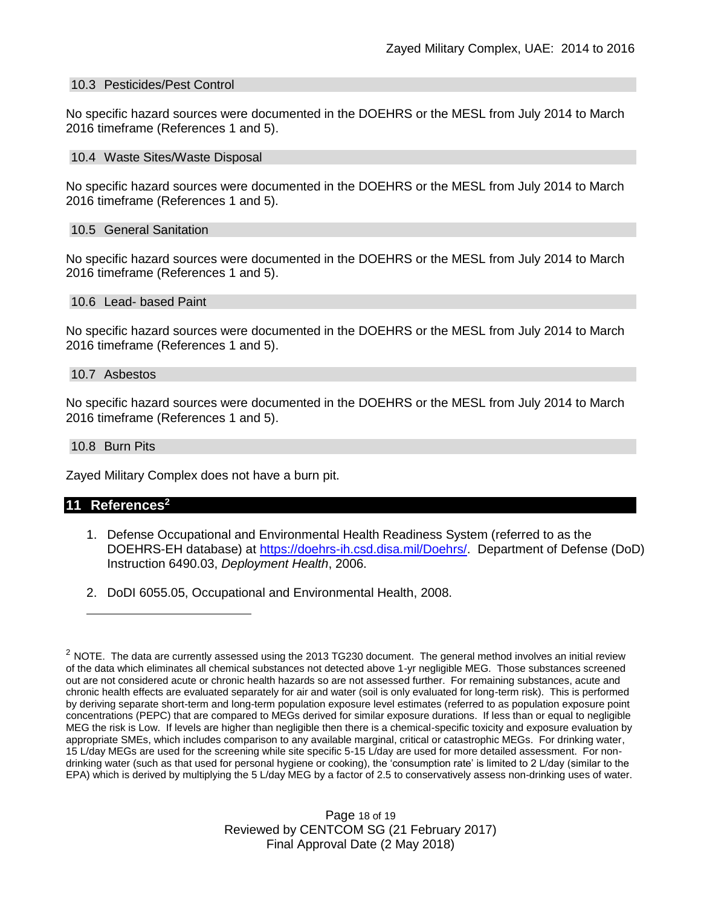#### 10.3 Pesticides/Pest Control

No specific hazard sources were documented in the DOEHRS or the MESL from July 2014 to March 2016 timeframe (References 1 and 5).

#### 10.4 Waste Sites/Waste Disposal

No specific hazard sources were documented in the DOEHRS or the MESL from July 2014 to March 2016 timeframe (References 1 and 5).

#### 10.5 General Sanitation

No specific hazard sources were documented in the DOEHRS or the MESL from July 2014 to March 2016 timeframe (References 1 and 5).

#### 10.6 Lead- based Paint

No specific hazard sources were documented in the DOEHRS or the MESL from July 2014 to March 2016 timeframe (References 1 and 5).

#### 10.7 Asbestos

No specific hazard sources were documented in the DOEHRS or the MESL from July 2014 to March 2016 timeframe (References 1 and 5).

#### 10.8 Burn Pits

Zayed Military Complex does not have a burn pit.

#### **11 References<sup>2</sup>**

 $\overline{a}$ 

- 1. Defense Occupational and Environmental Health Readiness System (referred to as the DOEHRS-EH database) at [https://doehrs-ih.csd.disa.mil/Doehrs/.](https://doehrs-ih.csd.disa.mil/Doehrs/)Department of Defense (DoD) Instruction 6490.03, *Deployment Health*, 2006.
- 2. DoDI 6055.05, Occupational and Environmental Health, 2008.

Page 18 of 19 Reviewed by CENTCOM SG (21 February 2017) Final Approval Date (2 May 2018)

 $2$  NOTE. The data are currently assessed using the 2013 TG230 document. The general method involves an initial review of the data which eliminates all chemical substances not detected above 1-yr negligible MEG. Those substances screened out are not considered acute or chronic health hazards so are not assessed further. For remaining substances, acute and chronic health effects are evaluated separately for air and water (soil is only evaluated for long-term risk). This is performed by deriving separate short-term and long-term population exposure level estimates (referred to as population exposure point concentrations (PEPC) that are compared to MEGs derived for similar exposure durations. If less than or equal to negligible MEG the risk is Low. If levels are higher than negligible then there is a chemical-specific toxicity and exposure evaluation by appropriate SMEs, which includes comparison to any available marginal, critical or catastrophic MEGs. For drinking water, 15 L/day MEGs are used for the screening while site specific 5-15 L/day are used for more detailed assessment. For nondrinking water (such as that used for personal hygiene or cooking), the 'consumption rate' is limited to 2 L/day (similar to the EPA) which is derived by multiplying the 5 L/day MEG by a factor of 2.5 to conservatively assess non-drinking uses of water.